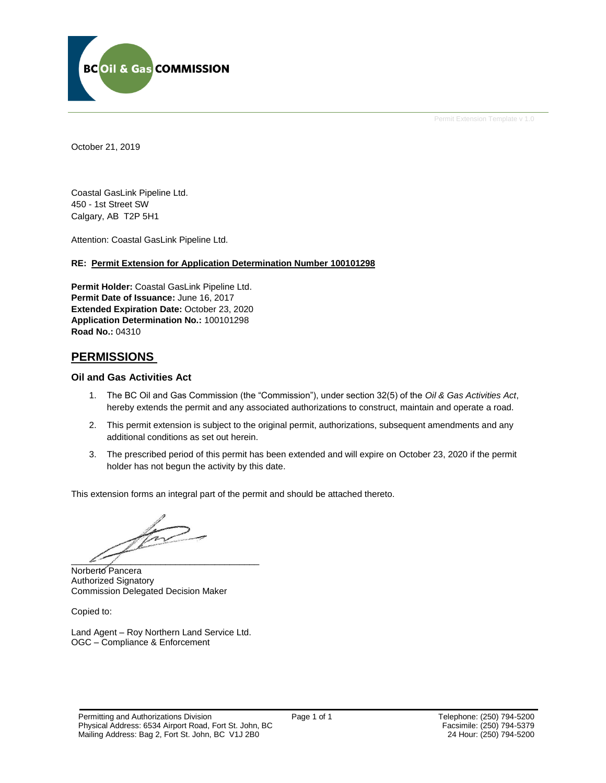

Permit Extension Template v 1.0

October 21, 2019

Coastal GasLink Pipeline Ltd. 450 - 1st Street SW Calgary, AB T2P 5H1

Attention: Coastal GasLink Pipeline Ltd.

### **RE: Permit Extension for Application Determination Number 100101298**

**Permit Holder:** Coastal GasLink Pipeline Ltd. **Permit Date of Issuance:** June 16, 2017 **Extended Expiration Date:** October 23, 2020 **Application Determination No.:** 100101298 **Road No.:** 04310

## **PERMISSIONS**

#### **Oil and Gas Activities Act**

- 1. The BC Oil and Gas Commission (the "Commission"), under section 32(5) of the *Oil & Gas Activities Act*, hereby extends the permit and any associated authorizations to construct, maintain and operate a road.
- 2. This permit extension is subject to the original permit, authorizations, subsequent amendments and any additional conditions as set out herein.
- 3. The prescribed period of this permit has been extended and will expire on October 23, 2020 if the permit holder has not begun the activity by this date.

This extension forms an integral part of the permit and should be attached thereto.

 $\mathcal{L}$  and  $\mathcal{L}$ 

Norberto Pancera Authorized Signatory Commission Delegated Decision Maker

Copied to:

Land Agent – Roy Northern Land Service Ltd. OGC – Compliance & Enforcement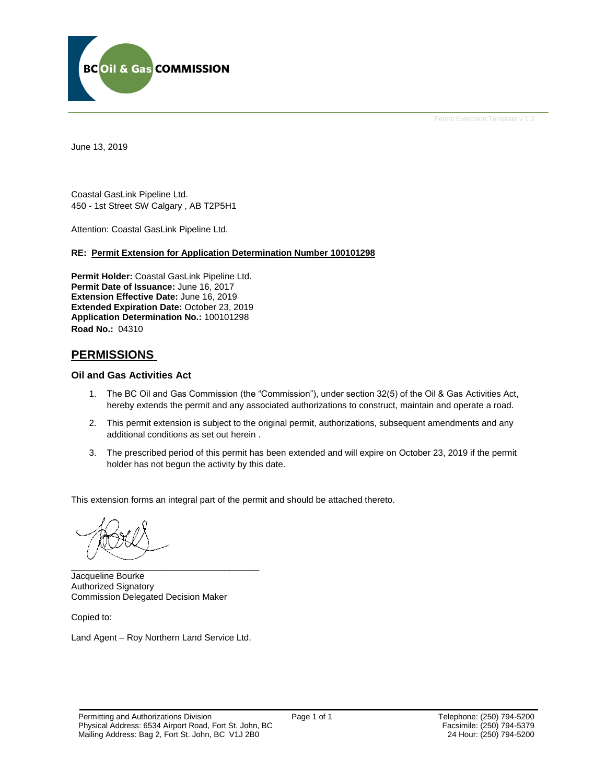

Permit Extension Template v 1.0

June 13, 2019

Coastal GasLink Pipeline Ltd. 450 - 1st Street SW Calgary , AB T2P5H1

Attention: Coastal GasLink Pipeline Ltd.

#### **RE: Permit Extension for Application Determination Number 100101298**

**Permit Holder:** Coastal GasLink Pipeline Ltd. **Permit Date of Issuance:** June 16, 2017 **Extension Effective Date:** June 16, 2019 **Extended Expiration Date:** October 23, 2019 **Application Determination No.:** 100101298 **Road No.:** 04310

## **PERMISSIONS**

#### **Oil and Gas Activities Act**

- 1. The BC Oil and Gas Commission (the "Commission"), under section 32(5) of the Oil & Gas Activities Act, hereby extends the permit and any associated authorizations to construct, maintain and operate a road.
- 2. This permit extension is subject to the original permit, authorizations, subsequent amendments and any additional conditions as set out herein .
- 3. The prescribed period of this permit has been extended and will expire on October 23, 2019 if the permit holder has not begun the activity by this date.

This extension forms an integral part of the permit and should be attached thereto.

\_\_\_\_\_\_\_\_\_\_\_\_\_\_\_\_\_\_\_\_\_\_\_\_\_\_\_\_\_\_\_\_\_\_\_\_\_\_

Jacqueline Bourke Authorized Signatory Commission Delegated Decision Maker

Copied to:

Land Agent – Roy Northern Land Service Ltd.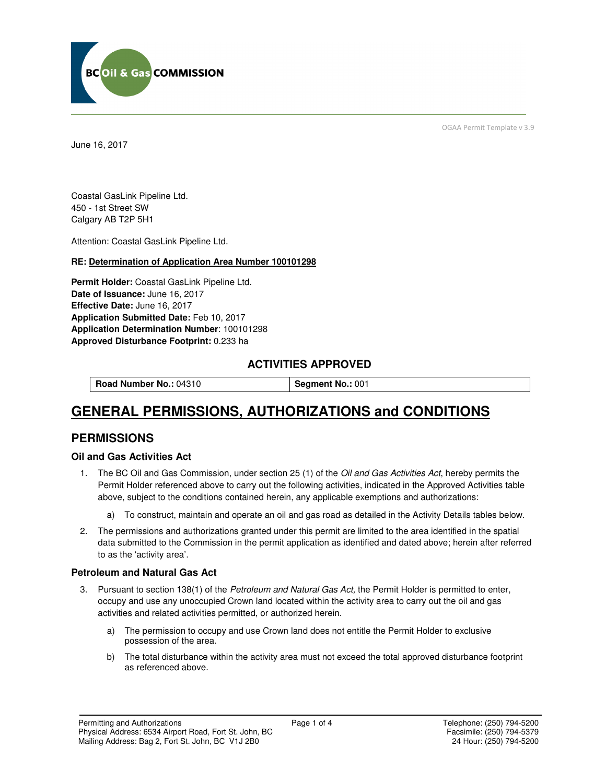

June 16, 2017

OGAA Permit Template v 3.9

Coastal GasLink Pipeline Ltd. 450 - 1st Street SW Calgary AB T2P 5H1

Attention: Coastal GasLink Pipeline Ltd.

## **RE: Determination of Application Area Number 100101298**

**Permit Holder:** Coastal GasLink Pipeline Ltd. **Date of Issuance:** June 16, 2017 **Effective Date:** June 16, 2017 **Application Submitted Date:** Feb 10, 2017 **Application Determination Number**: 100101298 **Approved Disturbance Footprint:** 0.233 ha

## **ACTIVITIES APPROVED**

**Road Number No.: 04310 <br><b>Segment No.: 001** 

# **GENERAL PERMISSIONS, AUTHORIZATIONS and CONDITIONS**

## **PERMISSIONS**

## **Oil and Gas Activities Act**

- 1. The BC Oil and Gas Commission, under section 25 (1) of the Oil and Gas Activities Act, hereby permits the Permit Holder referenced above to carry out the following activities, indicated in the Approved Activities table above, subject to the conditions contained herein, any applicable exemptions and authorizations:
	- a) To construct, maintain and operate an oil and gas road as detailed in the Activity Details tables below.
- 2. The permissions and authorizations granted under this permit are limited to the area identified in the spatial data submitted to the Commission in the permit application as identified and dated above; herein after referred to as the 'activity area'.

### **Petroleum and Natural Gas Act**

- 3. Pursuant to section 138(1) of the Petroleum and Natural Gas Act, the Permit Holder is permitted to enter, occupy and use any unoccupied Crown land located within the activity area to carry out the oil and gas activities and related activities permitted, or authorized herein.
	- a) The permission to occupy and use Crown land does not entitle the Permit Holder to exclusive possession of the area.
	- b) The total disturbance within the activity area must not exceed the total approved disturbance footprint as referenced above.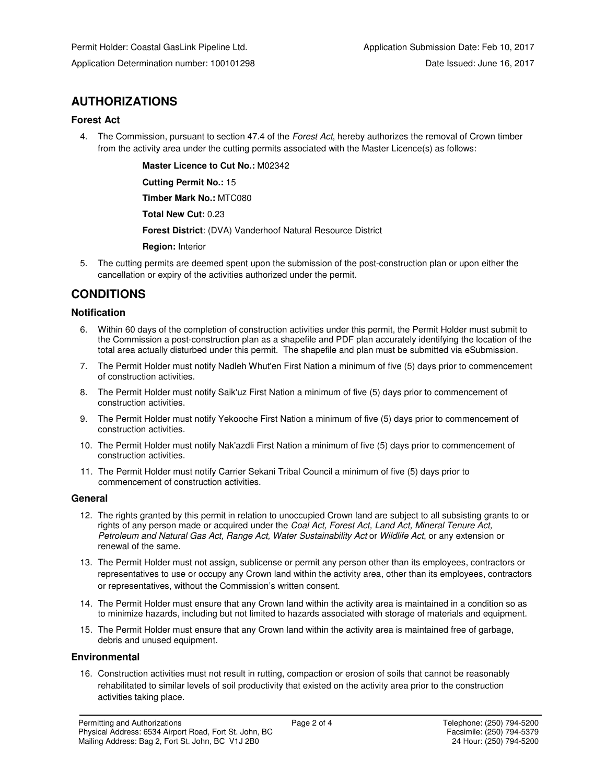## **AUTHORIZATIONS**

## **Forest Act**

4. The Commission, pursuant to section 47.4 of the Forest Act, hereby authorizes the removal of Crown timber from the activity area under the cutting permits associated with the Master Licence(s) as follows:

> **Master Licence to Cut No.:** M02342  **Cutting Permit No.:** 15  **Timber Mark No.:** MTC080  **Total New Cut:** 0.23  **Forest District**: (DVA) Vanderhoof Natural Resource District  **Region:** Interior

5. The cutting permits are deemed spent upon the submission of the post-construction plan or upon either the cancellation or expiry of the activities authorized under the permit.

## **CONDITIONS**

## **Notification**

- 6. Within 60 days of the completion of construction activities under this permit, the Permit Holder must submit to the Commission a post-construction plan as a shapefile and PDF plan accurately identifying the location of the total area actually disturbed under this permit. The shapefile and plan must be submitted via eSubmission.
- 7. The Permit Holder must notify Nadleh Whut'en First Nation a minimum of five (5) days prior to commencement of construction activities.
- 8. The Permit Holder must notify Saik'uz First Nation a minimum of five (5) days prior to commencement of construction activities.
- 9. The Permit Holder must notify Yekooche First Nation a minimum of five (5) days prior to commencement of construction activities.
- 10. The Permit Holder must notify Nak'azdli First Nation a minimum of five (5) days prior to commencement of construction activities.
- 11. The Permit Holder must notify Carrier Sekani Tribal Council a minimum of five (5) days prior to commencement of construction activities.

## **General**

- 12. The rights granted by this permit in relation to unoccupied Crown land are subject to all subsisting grants to or rights of any person made or acquired under the Coal Act, Forest Act, Land Act, Mineral Tenure Act, Petroleum and Natural Gas Act, Range Act, Water Sustainability Act or Wildlife Act, or any extension or renewal of the same.
- 13. The Permit Holder must not assign, sublicense or permit any person other than its employees, contractors or representatives to use or occupy any Crown land within the activity area, other than its employees, contractors or representatives, without the Commission's written consent.
- 14. The Permit Holder must ensure that any Crown land within the activity area is maintained in a condition so as to minimize hazards, including but not limited to hazards associated with storage of materials and equipment.
- 15. The Permit Holder must ensure that any Crown land within the activity area is maintained free of garbage, debris and unused equipment.

## **Environmental**

16. Construction activities must not result in rutting, compaction or erosion of soils that cannot be reasonably rehabilitated to similar levels of soil productivity that existed on the activity area prior to the construction activities taking place.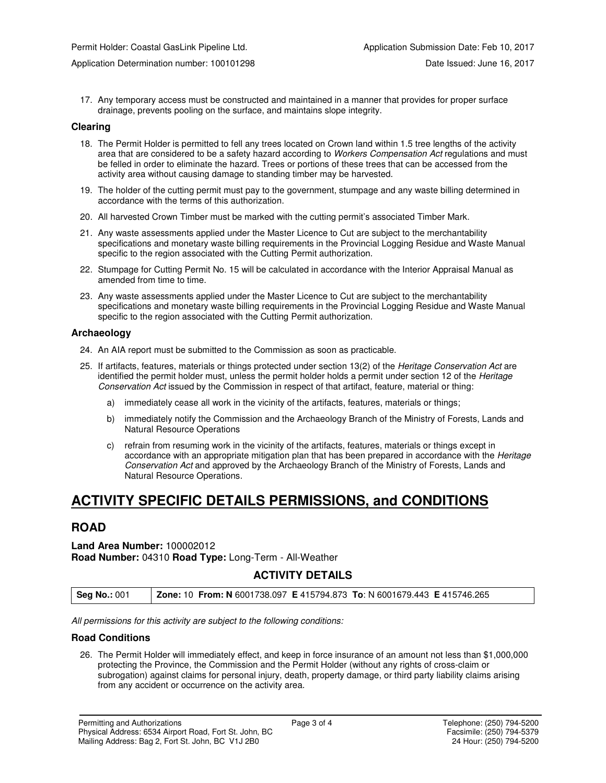17. Any temporary access must be constructed and maintained in a manner that provides for proper surface drainage, prevents pooling on the surface, and maintains slope integrity.

#### **Clearing**

- 18. The Permit Holder is permitted to fell any trees located on Crown land within 1.5 tree lengths of the activity area that are considered to be a safety hazard according to Workers Compensation Act regulations and must be felled in order to eliminate the hazard. Trees or portions of these trees that can be accessed from the activity area without causing damage to standing timber may be harvested.
- 19. The holder of the cutting permit must pay to the government, stumpage and any waste billing determined in accordance with the terms of this authorization.
- 20. All harvested Crown Timber must be marked with the cutting permit's associated Timber Mark.
- 21. Any waste assessments applied under the Master Licence to Cut are subject to the merchantability specifications and monetary waste billing requirements in the Provincial Logging Residue and Waste Manual specific to the region associated with the Cutting Permit authorization.
- 22. Stumpage for Cutting Permit No. 15 will be calculated in accordance with the Interior Appraisal Manual as amended from time to time.
- 23. Any waste assessments applied under the Master Licence to Cut are subject to the merchantability specifications and monetary waste billing requirements in the Provincial Logging Residue and Waste Manual specific to the region associated with the Cutting Permit authorization.

### **Archaeology**

- 24. An AIA report must be submitted to the Commission as soon as practicable.
- 25. If artifacts, features, materials or things protected under section 13(2) of the Heritage Conservation Act are identified the permit holder must, unless the permit holder holds a permit under section 12 of the Heritage Conservation Act issued by the Commission in respect of that artifact, feature, material or thing:
	- a) immediately cease all work in the vicinity of the artifacts, features, materials or things;
	- b) immediately notify the Commission and the Archaeology Branch of the Ministry of Forests, Lands and Natural Resource Operations
	- c) refrain from resuming work in the vicinity of the artifacts, features, materials or things except in accordance with an appropriate mitigation plan that has been prepared in accordance with the Heritage Conservation Act and approved by the Archaeology Branch of the Ministry of Forests, Lands and Natural Resource Operations.

## **ACTIVITY SPECIFIC DETAILS PERMISSIONS, and CONDITIONS**

## **ROAD**

### **Land Area Number:** 100002012 **Road Number:** 04310 **Road Type:** Long-Term - All-Weather

## **ACTIVITY DETAILS**

| <b>Seg No.: 001</b> | <b>Zone: 10 From: N 6001738.097 E 415794.873 To: N 6001679.443 E 415746.265</b> |
|---------------------|---------------------------------------------------------------------------------|
|---------------------|---------------------------------------------------------------------------------|

All permissions for this activity are subject to the following conditions:

#### **Road Conditions**

26. The Permit Holder will immediately effect, and keep in force insurance of an amount not less than \$1,000,000 protecting the Province, the Commission and the Permit Holder (without any rights of cross-claim or subrogation) against claims for personal injury, death, property damage, or third party liability claims arising from any accident or occurrence on the activity area.